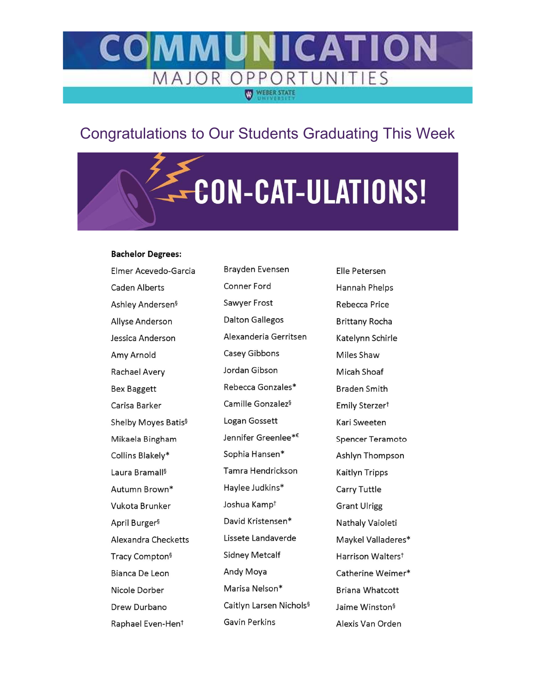#### CATION MAJOR OPPORT IFS WEBER STATE

## **Congratulations to Our Students Graduating This Week**

# E-CON-CAT-ULATIONS!

#### **Bachelor Degrees:**

| Elmer Acevedo-Garcia            |  |  |  |
|---------------------------------|--|--|--|
| Caden Alberts                   |  |  |  |
| Ashley Andersen§                |  |  |  |
| Allyse Anderson                 |  |  |  |
| Jessica Anderson                |  |  |  |
| Amy Arnold                      |  |  |  |
| Rachael Avery                   |  |  |  |
| Bex Baggett                     |  |  |  |
| Carisa Barker                   |  |  |  |
| Shelby Moyes Batis <sup>§</sup> |  |  |  |
| Mikaela Bingham                 |  |  |  |
| Collins Blakely*                |  |  |  |
| Laura Bramall§                  |  |  |  |
| Autumn Brown*                   |  |  |  |
| Vukota Brunker                  |  |  |  |
| April Burger <sup>§</sup>       |  |  |  |
| Alexandra Checketts             |  |  |  |
| Tracy Compton <sup>§</sup>      |  |  |  |
| Bianca De Leon                  |  |  |  |
| Nicole Dorber                   |  |  |  |
| Drew Durbano                    |  |  |  |
| Raphael Even-Hen <sup>t</sup>   |  |  |  |

Brayden Evensen Conner Ford Sawyer Frost **Dalton Gallegos** Alexanderia Gerritsen Casey Gibbons Jordan Gibson Rebecca Gonzales\* Camille Gonzalez<sup>§</sup> Logan Gossett Jennifer Greenlee<sup>\*€</sup> Sophia Hansen\* Tamra Hendrickson Haylee Judkins\* Joshua Kampt David Kristensen\* Lissete Landaverde **Sidney Metcalf** Andy Moya Marisa Nelson\* Caitlyn Larsen Nichols<sup>§</sup> Gavin Perkins

Elle Petersen Hannah Phelps Rebecca Price **Brittany Rocha** Katelynn Schirle Miles Shaw Micah Shoaf **Braden Smith** Emily Sterzer<sup>t</sup> Kari Sweeten **Spencer Teramoto** Ashlyn Thompson **Kaitlyn Tripps** Carry Tuttle **Grant Ulrigg** Nathaly Vaioleti Maykel Valladeres\* Harrison Walters<sup>t</sup> Catherine Weimer\* **Briana Whatcott** Jaime Winston<sup>§</sup> Alexis Van Orden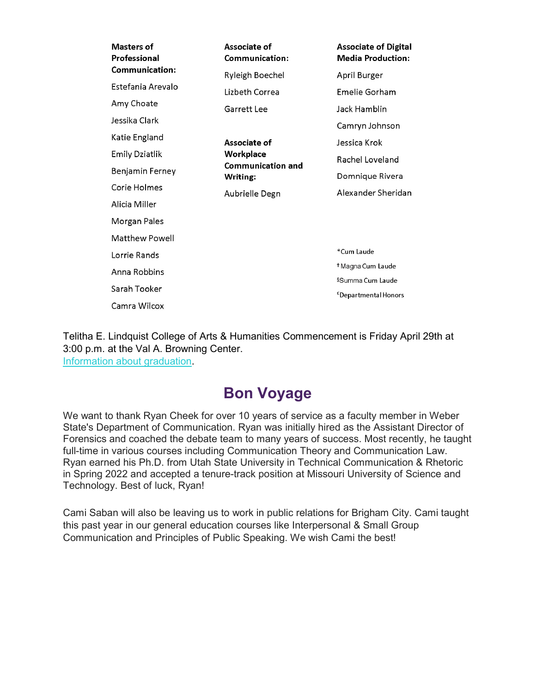| Masters of<br>Professional | Associate of<br><b>Communication:</b>                                               | <b>Associate of Digital</b><br><b>Media Production:</b> |
|----------------------------|-------------------------------------------------------------------------------------|---------------------------------------------------------|
| Communication:             | Ryleigh Boechel                                                                     | April Burger                                            |
| Estefania Arevalo          | Lizbeth Correa                                                                      | Emelie Gorham                                           |
| Amy Choate                 | Garrett Lee                                                                         | Jack Hamblin                                            |
| Jessika Clark              |                                                                                     | Camryn Johnson                                          |
| Katie England              | Associate of<br>Workplace<br><b>Communication and</b><br>Writing:<br>Aubrielle Degn | Jessica Krok                                            |
| Emily Dziatlik             |                                                                                     | Rachel Loveland                                         |
| Benjamin Ferney            |                                                                                     | Domnique Rivera                                         |
| Corie Holmes               |                                                                                     | Alexander Sheridan                                      |
| Alicia Miller              |                                                                                     |                                                         |
| Morgan Pales               |                                                                                     |                                                         |
| Matthew Powell             |                                                                                     |                                                         |
| Lorrie Rands               |                                                                                     | *Cum Laude                                              |
| Anna Robbins               |                                                                                     | <sup>†</sup> Magna Cum Laude                            |
| Sarah Tooker               |                                                                                     | §Summa Cum Laude                                        |
| Camra Wilcox               |                                                                                     | <sup>€</sup> Departmental Honors                        |
|                            |                                                                                     |                                                         |

Telitha E. Lindquist College of Arts & Humanities Commencement is Friday April 29th at 3:00 p.m. at the Val A. Browning Center. Information about graduation.

### Bon Voyage

We want to thank Ryan Cheek for over 10 years of service as a faculty member in Weber State's Department of Communication. Ryan was initially hired as the Assistant Director of Forensics and coached the debate team to many years of success. Most recently, he taught full-time in various courses including Communication Theory and Communication Law. Ryan earned his Ph.D. from Utah State University in Technical Communication & Rhetoric in Spring 2022 and accepted a tenure-track position at Missouri University of Science and Technology. Best of luck, Ryan!

Cami Saban will also be leaving us to work in public relations for Brigham City. Cami taught this past year in our general education courses like Interpersonal & Small Group Communication and Principles of Public Speaking. We wish Cami the best!